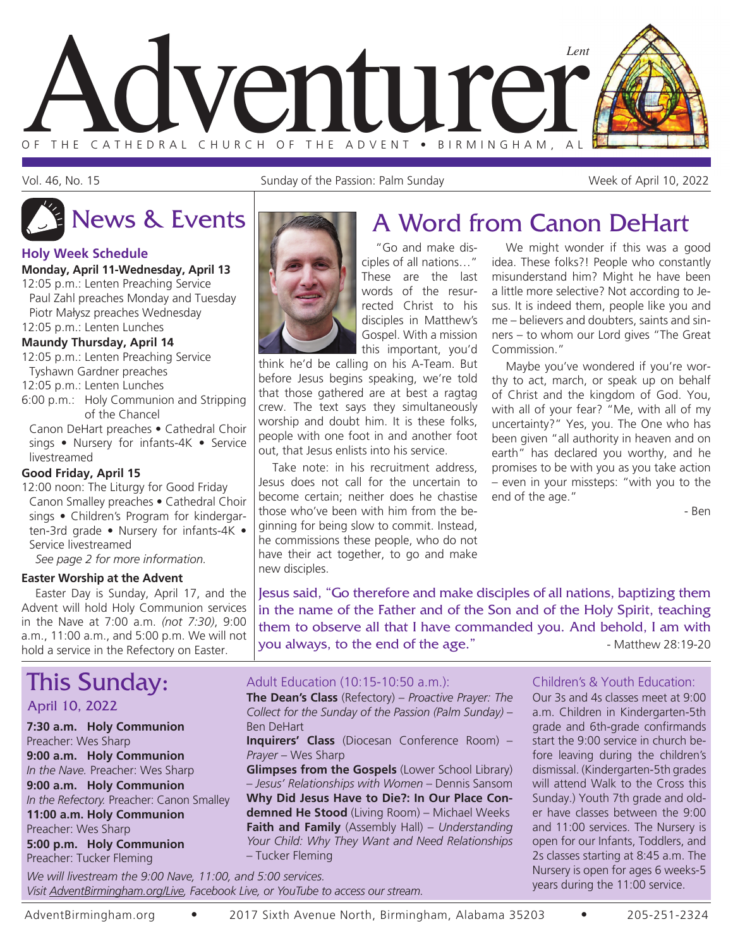

Vol. 46, No. 15 Sunday of the Passion: Palm Sunday Week of April 10, 2022

### **Holy Week Schedule**

#### **Monday, April 11-Wednesday, April 13**

12:05 p.m.: Lenten Preaching Service Paul Zahl preaches Monday and Tuesday Piotr Ma�ysz preaches Wednesday 12:05 p.m.: Lenten Lunches

## **Maundy Thursday, April 14**

12:05 p.m.: Lenten Preaching Service

Tyshawn Gardner preaches 12:05 p.m.: Lenten Lunches

6:00 p.m.: Holy Communion and Stripping of the Chancel

Canon DeHart preaches • Cathedral Choir sings • Nursery for infants-4K • Service livestreamed

#### **Good Friday, April 15**

12:00 noon: The Liturgy for Good Friday Canon Smalley preaches • Cathedral Choir sings • Children's Program for kindergarten-3rd grade • Nursery for infants-4K • Service livestreamed

*See page 2 for more information.*

#### **Easter Worship at the Advent**

Easter Day is Sunday, April 17, and the Advent will hold Holy Communion services in the Nave at 7:00 a.m. *(not 7:30)*, 9:00 a.m., 11:00 a.m., and 5:00 p.m. We will not hold a service in the Refectory on Easter.

## This Sunday:

April 10, 2022

**7:30 a.m. Holy Communion** Preacher: Wes Sharp **9:00 a.m. Holy Communion** *In the Nave.* Preacher: Wes Sharp **9:00 a.m. Holy Communion** *In the Refectory.* Preacher: Canon Smalley **11:00 a.m. Holy Communion** Preacher: Wes Sharp **5:00 p.m. Holy Communion** Preacher: Tucker Fleming



#### "Go and make disciples of all nations…" These are the last words of the resurrected Christ to his disciples in Matthew's Gospel. With a mission this important, you'd

think he'd be calling on his A-Team. But before Jesus begins speaking, we're told that those gathered are at best a ragtag crew. The text says they simultaneously worship and doubt him. It is these folks, people with one foot in and another foot out, that Jesus enlists into his service.

Take note: in his recruitment address, Jesus does not call for the uncertain to become certain; neither does he chastise those who've been with him from the beginning for being slow to commit. Instead, he commissions these people, who do not have their act together, to go and make new disciples.

## News & Events **A Word from Canon DeHart**

We might wonder if this was a good idea. These folks?! People who constantly misunderstand him? Might he have been a little more selective? Not according to Jesus. It is indeed them, people like you and me – believers and doubters, saints and sinners – to whom our Lord gives "The Great Commission."

Maybe you've wondered if you're worthy to act, march, or speak up on behalf of Christ and the kingdom of God. You, with all of your fear? "Me, with all of my uncertainty?" Yes, you. The One who has been given "all authority in heaven and on earth" has declared you worthy, and he promises to be with you as you take action – even in your missteps: "with you to the end of the age."

- Ben

Jesus said, "Go therefore and make disciples of all nations, baptizing them in the name of the Father and of the Son and of the Holy Spirit, teaching them to observe all that I have commanded you. And behold, I am with you always, to the end of the age." The set of the set of the Age. All the Matthew 28:19-20

### Adult Education (10:15-10:50 a.m.):

**The Dean's Class** (Refectory) – *Proactive Prayer: The Collect for the Sunday of the Passion (Palm Sunday)* – Ben DeHart

**Inquirers' Class** (Diocesan Conference Room) – *Prayer* – Wes Sharp

**Glimpses from the Gospels** (Lower School Library) – *Jesus' Relationships with Women* – Dennis Sansom **Why Did Jesus Have to Die?: In Our Place Condemned He Stood** (Living Room) – Michael Weeks **Faith and Family** (Assembly Hall) – *Understanding Your Child: Why They Want and Need Relationships*  – Tucker Fleming

#### Children's & Youth Education:

Our 3s and 4s classes meet at 9:00 a.m. Children in Kindergarten-5th grade and 6th-grade confirmands start the 9:00 service in church before leaving during the children's dismissal. (Kindergarten-5th grades will attend Walk to the Cross this Sunday.) Youth 7th grade and older have classes between the 9:00 and 11:00 services. The Nursery is open for our Infants, Toddlers, and 2s classes starting at 8:45 a.m. The Nursery is open for ages 6 weeks-5 years during the 11:00 service.

*We will livestream the 9:00 Nave, 11:00, and 5:00 services. Visit AdventBirmingham.org/Live, Facebook Live, or YouTube to access our stream.*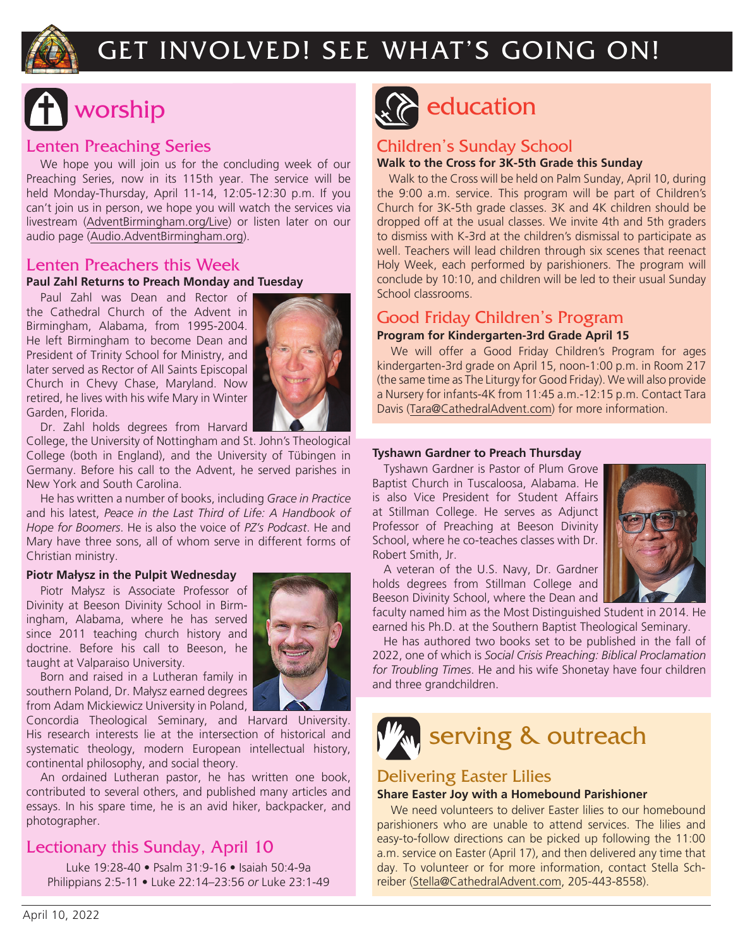

## GET INVOLVED! SEE WHAT'S GOING ON!

# worship

## Lenten Preaching Series

We hope you will join us for the concluding week of our Preaching Series, now in its 115th year. The service will be held Monday-Thursday, April 11-14, 12:05-12:30 p.m. If you can't join us in person, we hope you will watch the services via livestream (AdventBirmingham.org/Live) or listen later on our audio page (Audio.AdventBirmingham.org).

### Lenten Preachers this Week

#### **Paul Zahl Returns to Preach Monday and Tuesday**

Paul Zahl was Dean and Rector of the Cathedral Church of the Advent in Birmingham, Alabama, from 1995-2004. He left Birmingham to become Dean and President of Trinity School for Ministry, and later served as Rector of All Saints Episcopal Church in Chevy Chase, Maryland. Now retired, he lives with his wife Mary in Winter Garden, Florida.



Dr. Zahl holds degrees from Harvard

College, the University of Nottingham and St. John's Theological College (both in England), and the University of Tübingen in Germany. Before his call to the Advent, he served parishes in New York and South Carolina.

He has written a number of books, including *Grace in Practice* and his latest, *Peace in the Last Third of Life: A Handbook of Hope for Boomers*. He is also the voice of *PZ's Podcast*. He and Mary have three sons, all of whom serve in different forms of Christian ministry.

#### **Piotr Ma�ysz in the Pulpit Wednesday**

Piotr Ma�ysz is Associate Professor of Divinity at Beeson Divinity School in Birmingham, Alabama, where he has served since 2011 teaching church history and doctrine. Before his call to Beeson, he taught at Valparaiso University.

Born and raised in a Lutheran family in

southern Poland, Dr. Ma�ysz earned degrees from Adam Mickiewicz University in Poland, Concordia Theological Seminary, and Harvard University. His research interests lie at the intersection of historical and

systematic theology, modern European intellectual history, continental philosophy, and social theory.

An ordained Lutheran pastor, he has written one book, contributed to several others, and published many articles and essays. In his spare time, he is an avid hiker, backpacker, and photographer.

## Lectionary this Sunday, April 10

Luke 19:28-40 • Psalm 31:9-16 • Isaiah 50:4-9a Philippians 2:5-11 • Luke 22:14–23:56 *or* Luke 23:1-49



# education

## Children's Sunday School

#### **Walk to the Cross for 3K-5th Grade this Sunday**

Walk to the Cross will be held on Palm Sunday, April 10, during the 9:00 a.m. service. This program will be part of Children's Church for 3K-5th grade classes. 3K and 4K children should be dropped off at the usual classes. We invite 4th and 5th graders to dismiss with K-3rd at the children's dismissal to participate as well. Teachers will lead children through six scenes that reenact Holy Week, each performed by parishioners. The program will conclude by 10:10, and children will be led to their usual Sunday School classrooms.

### Good Friday Children's Program

#### **Program for Kindergarten-3rd Grade April 15**

We will offer a Good Friday Children's Program for ages kindergarten-3rd grade on April 15, noon-1:00 p.m. in Room 217 (the same time as The Liturgy for Good Friday). We will also provide a Nursery for infants-4K from 11:45 a.m.-12:15 p.m. Contact Tara Davis (Tara@CathedralAdvent.com) for more information.

#### **Tyshawn Gardner to Preach Thursday**

Tyshawn Gardner is Pastor of Plum Grove Baptist Church in Tuscaloosa, Alabama. He is also Vice President for Student Affairs at Stillman College. He serves as Adjunct Professor of Preaching at Beeson Divinity School, where he co-teaches classes with Dr. Robert Smith, Jr.



A veteran of the U.S. Navy, Dr. Gardner holds degrees from Stillman College and Beeson Divinity School, where the Dean and

faculty named him as the Most Distinguished Student in 2014. He earned his Ph.D. at the Southern Baptist Theological Seminary.

He has authored two books set to be published in the fall of 2022, one of which is *Social Crisis Preaching: Biblical Proclamation for Troubling Times*. He and his wife Shonetay have four children and three grandchildren.



## Delivering Easter Lilies

#### **Share Easter Joy with a Homebound Parishioner**

We need volunteers to deliver Easter lilies to our homebound parishioners who are unable to attend services. The lilies and easy-to-follow directions can be picked up following the 11:00 a.m. service on Easter (April 17), and then delivered any time that day. To volunteer or for more information, contact Stella Schreiber (Stella@CathedralAdvent.com, 205-443-8558).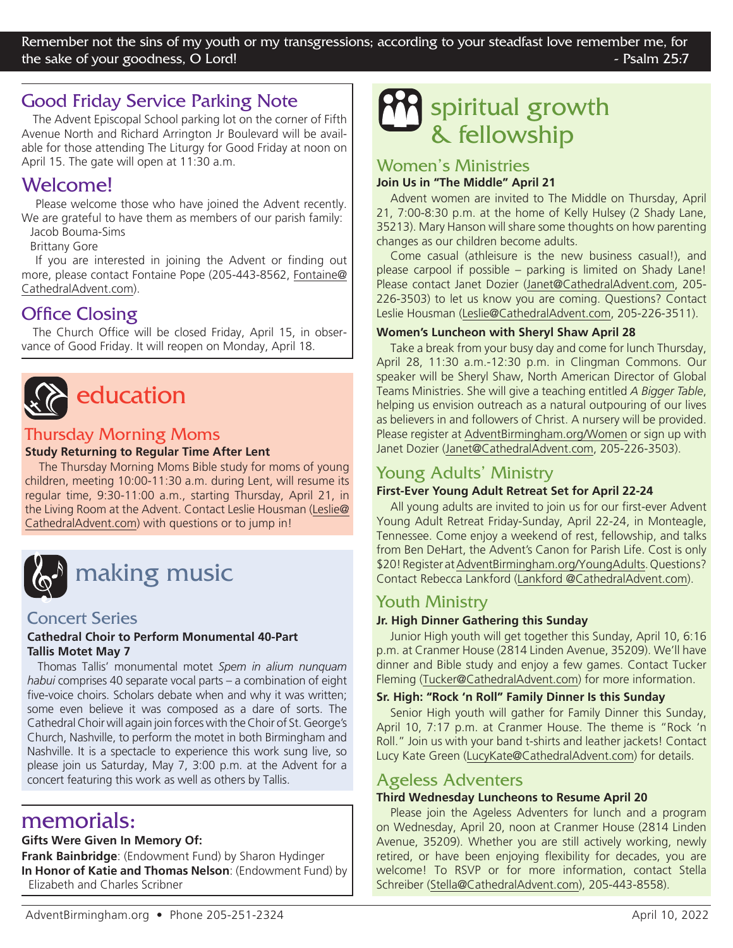## Good Friday Service Parking Note

The Advent Episcopal School parking lot on the corner of Fifth Avenue North and Richard Arrington Jr Boulevard will be available for those attending The Liturgy for Good Friday at noon on April 15. The gate will open at 11:30 a.m.

## Welcome!

Please welcome those who have joined the Advent recently. We are grateful to have them as members of our parish family: Jacob Bouma-Sims

Brittany Gore

If you are interested in joining the Advent or finding out more, please contact Fontaine Pope (205-443-8562, Fontaine@ CathedralAdvent.com).

## Office Closing

The Church Office will be closed Friday, April 15, in observance of Good Friday. It will reopen on Monday, April 18.



## education

## Thursday Morning Moms

### **Study Returning to Regular Time After Lent**

The Thursday Morning Moms Bible study for moms of young children, meeting 10:00-11:30 a.m. during Lent, will resume its regular time, 9:30-11:00 a.m., starting Thursday, April 21, in the Living Room at the Advent. Contact Leslie Housman (Leslie@ CathedralAdvent.com) with questions or to jump in!



making music

## Concert Series

### **Cathedral Choir to Perform Monumental 40-Part Tallis Motet May 7**

Thomas Tallis' monumental motet *Spem in alium nunquam habui* comprises 40 separate vocal parts – a combination of eight five-voice choirs. Scholars debate when and why it was written; some even believe it was composed as a dare of sorts. The Cathedral Choir will again join forces with the Choir of St. George's Church, Nashville, to perform the motet in both Birmingham and Nashville. It is a spectacle to experience this work sung live, so please join us Saturday, May 7, 3:00 p.m. at the Advent for a concert featuring this work as well as others by Tallis.

## memorials:

### **Gifts Were Given In Memory Of:**

**Frank Bainbridge**: (Endowment Fund) by Sharon Hydinger **In Honor of Katie and Thomas Nelson**: (Endowment Fund) by Elizabeth and Charles Scribner



## Women's Ministries

### **Join Us in "The Middle" April 21**

Advent women are invited to The Middle on Thursday, April 21, 7:00-8:30 p.m. at the home of Kelly Hulsey (2 Shady Lane, 35213). Mary Hanson will share some thoughts on how parenting changes as our children become adults.

Come casual (athleisure is the new business casual!), and please carpool if possible – parking is limited on Shady Lane! Please contact Janet Dozier (Janet@CathedralAdvent.com, 205- 226-3503) to let us know you are coming. Questions? Contact Leslie Housman (Leslie@CathedralAdvent.com, 205-226-3511).

### **Women's Luncheon with Sheryl Shaw April 28**

Take a break from your busy day and come for lunch Thursday, April 28, 11:30 a.m.-12:30 p.m. in Clingman Commons. Our speaker will be Sheryl Shaw, North American Director of Global Teams Ministries. She will give a teaching entitled *A Bigger Table*, helping us envision outreach as a natural outpouring of our lives as believers in and followers of Christ. A nursery will be provided. Please register at AdventBirmingham.org/Women or sign up with Janet Dozier (Janet@CathedralAdvent.com, 205-226-3503).

## Young Adults' Ministry

### **First-Ever Young Adult Retreat Set for April 22-24**

All young adults are invited to join us for our first-ever Advent Young Adult Retreat Friday-Sunday, April 22-24, in Monteagle, Tennessee. Come enjoy a weekend of rest, fellowship, and talks from Ben DeHart, the Advent's Canon for Parish Life. Cost is only \$20! Register at AdventBirmingham.org/YoungAdults. Questions? Contact Rebecca Lankford (Lankford @CathedralAdvent.com).

## Youth Ministry

### **Jr. High Dinner Gathering this Sunday**

Junior High youth will get together this Sunday, April 10, 6:16 p.m. at Cranmer House (2814 Linden Avenue, 35209). We'll have dinner and Bible study and enjoy a few games. Contact Tucker Fleming (Tucker@CathedralAdvent.com) for more information.

### **Sr. High: "Rock 'n Roll" Family Dinner Is this Sunday**

Senior High youth will gather for Family Dinner this Sunday, April 10, 7:17 p.m. at Cranmer House. The theme is "Rock 'n Roll." Join us with your band t-shirts and leather jackets! Contact Lucy Kate Green (LucyKate@CathedralAdvent.com) for details.

## Ageless Adventers

### **Third Wednesday Luncheons to Resume April 20**

Please join the Ageless Adventers for lunch and a program on Wednesday, April 20, noon at Cranmer House (2814 Linden Avenue, 35209). Whether you are still actively working, newly retired, or have been enjoying flexibility for decades, you are welcome! To RSVP or for more information, contact Stella Schreiber (Stella@CathedralAdvent.com), 205-443-8558).